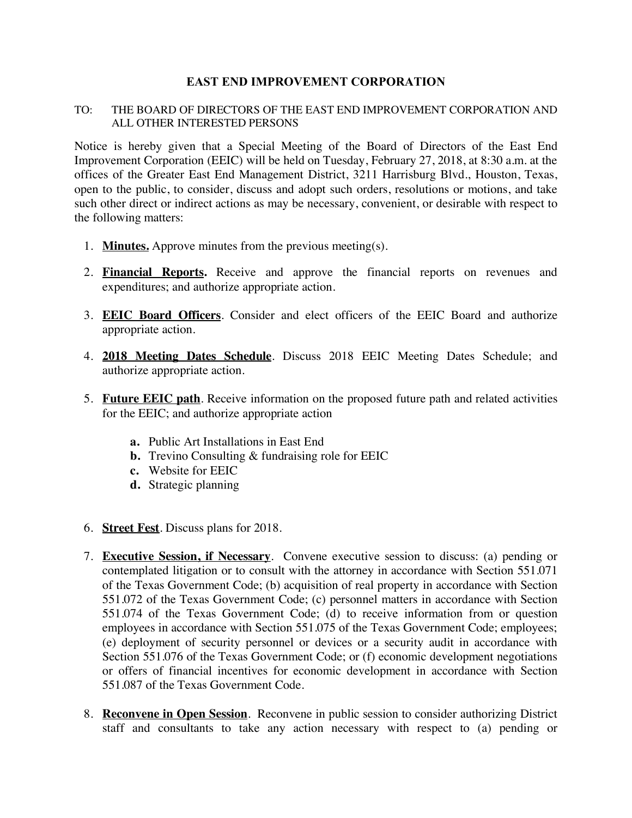## **EAST END IMPROVEMENT CORPORATION**

## TO: THE BOARD OF DIRECTORS OF THE EAST END IMPROVEMENT CORPORATION AND ALL OTHER INTERESTED PERSONS

Notice is hereby given that a Special Meeting of the Board of Directors of the East End Improvement Corporation (EEIC) will be held on Tuesday, February 27, 2018, at 8:30 a.m. at the offices of the Greater East End Management District, 3211 Harrisburg Blvd., Houston, Texas, open to the public, to consider, discuss and adopt such orders, resolutions or motions, and take such other direct or indirect actions as may be necessary, convenient, or desirable with respect to the following matters:

- 1. **Minutes.** Approve minutes from the previous meeting(s).
- 2. **Financial Reports.** Receive and approve the financial reports on revenues and expenditures; and authorize appropriate action.
- 3. **EEIC Board Officers**. Consider and elect officers of the EEIC Board and authorize appropriate action.
- 4. **2018 Meeting Dates Schedule**. Discuss 2018 EEIC Meeting Dates Schedule; and authorize appropriate action.
- 5. **Future EEIC path**. Receive information on the proposed future path and related activities for the EEIC; and authorize appropriate action
	- **a.** Public Art Installations in East End
	- **b.** Trevino Consulting & fundraising role for EEIC
	- **c.** Website for EEIC
	- **d.** Strategic planning
- 6. **Street Fest**. Discuss plans for 2018.
- 7. **Executive Session, if Necessary**. Convene executive session to discuss: (a) pending or contemplated litigation or to consult with the attorney in accordance with Section 551.071 of the Texas Government Code; (b) acquisition of real property in accordance with Section 551.072 of the Texas Government Code; (c) personnel matters in accordance with Section 551.074 of the Texas Government Code; (d) to receive information from or question employees in accordance with Section 551.075 of the Texas Government Code; employees; (e) deployment of security personnel or devices or a security audit in accordance with Section 551.076 of the Texas Government Code; or (f) economic development negotiations or offers of financial incentives for economic development in accordance with Section 551.087 of the Texas Government Code.
- 8. **Reconvene in Open Session**. Reconvene in public session to consider authorizing District staff and consultants to take any action necessary with respect to (a) pending or